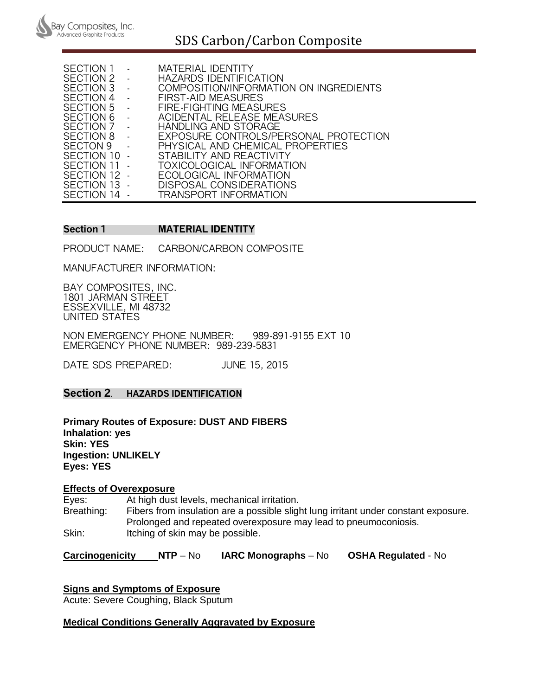

# SDS Carbon/Carbon Composite

| SECTION 1        | MATERIAL IDENTITY                      |
|------------------|----------------------------------------|
| SECTION 2        | HAZARDS IDENTIFICATION                 |
| SECTION 3        | COMPOSITION/INFORMATION ON INGREDIENTS |
| SECTION 4        | FIRST-AID MEASURES                     |
| SECTION 5        | FIRE-FIGHTING MEASURES                 |
| <b>SECTION 6</b> | ACIDENTAL RELEASE MEASURES             |
| SECTION 7        | HANDLING AND STORAGE                   |
| SECTION 8        | EXPOSURE CONTROLS/PERSONAL PROTECTION  |
| SECTON 9         | PHYSICAL AND CHEMICAL PROPERTIES       |
| SECTION 10       | STABILITY AND REACTIVITY               |
| SECTION 11       | TOXICOLOGICAL INFORMATION              |
| SECTION 12       | ECOLOGICAL INFORMATION                 |
| SECTION 13       | DISPOSAL CONSIDERATIONS                |
| SECTION 14       | TRANSPORT INFORMATION                  |

## **Section 1 MATERIAL IDENTITY**

PRODUCT NAME: CARBON/CARBON COMPOSITE

MANUFACTURER INFORMATION:

BAY COMPOSITES, INC. 1801 JARMAN STREET ESSEXVILLE, MI 48732 UNITED STATES

NON EMERGENCY PHONE NUMBER: 989-891-9155 EXT 10 EMERGENCY PHONE NUMBER: 989-239-5831

DATE SDS PREPARED: JUNE 15, 2015

## **Section 2**. **HAZARDS IDENTIFICATION**

**Primary Routes of Exposure: DUST AND FIBERS Inhalation: yes Skin: YES Ingestion: UNLIKELY Eyes: YES** 

#### **Effects of Overexposure**

Eyes: At high dust levels, mechanical irritation. Breathing: Fibers from insulation are a possible slight lung irritant under constant exposure. Prolonged and repeated overexposure may lead to pneumoconiosis. Skin: Itching of skin may be possible.

**Carcinogenicity NTP** – No **IARC Monographs** – No **OSHA Regulated** - No

**Signs and Symptoms of Exposure** 

Acute: Severe Coughing, Black Sputum

#### **Medical Conditions Generally Aggravated by Exposure**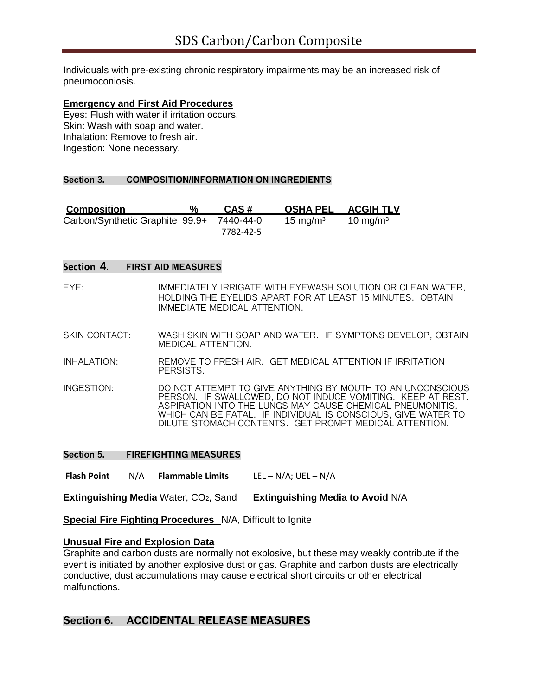Individuals with pre-existing chronic respiratory impairments may be an increased risk of pneumoconiosis.

#### **Emergency and First Aid Procedures**

Eyes: Flush with water if irritation occurs. Skin: Wash with soap and water. Inhalation: Remove to fresh air. Ingestion: None necessary.

#### **Section 3. COMPOSITION/INFORMATION ON INGREDIENTS**

| <b>Composition</b>              | % | CAS#      | <b>OSHA PEL</b>      | <b>ACGIH TLV</b>     |
|---------------------------------|---|-----------|----------------------|----------------------|
| Carbon/Synthetic Graphite 99.9+ |   | 7440-44-0 | 15 mg/m <sup>3</sup> | 10 mg/m <sup>3</sup> |
|                                 |   | 7782-42-5 |                      |                      |

#### **Section 4. FIRST AID MEASURES**

- EYE: IMMEDIATELY IRRIGATE WITH EYEWASH SOLUTION OR CLEAN WATER, HOLDING THE EYELIDS APART FOR AT LEAST 15 MINUTES. OBTAIN IMMEDIATE MEDICAL ATTENTION.
- SKIN CONTACT: WASH SKIN WITH SOAP AND WATER. IF SYMPTONS DEVELOP, OBTAIN MEDICAL ATTENTION.
- INHALATION: REMOVE TO FRESH AIR. GET MEDICAL ATTENTION IF IRRITATION PERSISTS.
- INGESTION: DO NOT ATTEMPT TO GIVE ANYTHING BY MOUTH TO AN UNCONSCIOUS PERSON. IF SWALLOWED, DO NOT INDUCE VOMITING. KEEP AT REST. ASPIRATION INTO THE LUNGS MAY CAUSE CHEMICAL PNEUMONITIS, WHICH CAN BE FATAL. IF INDIVIDUAL IS CONSCIOUS, GIVE WATER TO DILUTE STOMACH CONTENTS. GET PROMPT MEDICAL ATTENTION.

#### **Section 5. FIREFIGHTING MEASURES**

**Flash Point** N/A **Flammable Limits** LEL – N/A; UEL – N/A

**Extinguishing Media** Water, CO2, Sand **Extinguishing Media to Avoid** N/A

**Special Fire Fighting Procedures** N/A, Difficult to Ignite

#### **Unusual Fire and Explosion Data**

Graphite and carbon dusts are normally not explosive, but these may weakly contribute if the event is initiated by another explosive dust or gas. Graphite and carbon dusts are electrically conductive; dust accumulations may cause electrical short circuits or other electrical malfunctions.

## **Section 6. ACCIDENTAL RELEASE MEASURES**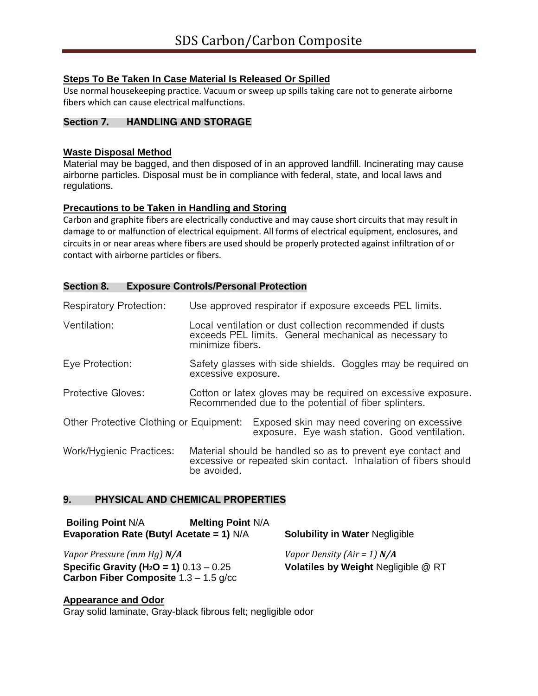## **Steps To Be Taken In Case Material Is Released Or Spilled**

Use normal housekeeping practice. Vacuum or sweep up spills taking care not to generate airborne fibers which can cause electrical malfunctions.

## **Section 7. HANDLING AND STORAGE**

## **Waste Disposal Method**

Material may be bagged, and then disposed of in an approved landfill. Incinerating may cause airborne particles. Disposal must be in compliance with federal, state, and local laws and regulations.

## **Precautions to be Taken in Handling and Storing**

Carbon and graphite fibers are electrically conductive and may cause short circuits that may result in damage to or malfunction of electrical equipment. All forms of electrical equipment, enclosures, and circuits in or near areas where fibers are used should be properly protected against infiltration of or contact with airborne particles or fibers.

## **Section 8. Exposure Controls/Personal Protection**

| <b>Respiratory Protection:</b>          | Use approved respirator if exposure exceeds PEL limits. |                                                      |                                                                                                                                |  |
|-----------------------------------------|---------------------------------------------------------|------------------------------------------------------|--------------------------------------------------------------------------------------------------------------------------------|--|
| Ventilation:                            | minimize fibers.                                        |                                                      | Local ventilation or dust collection recommended if dusts<br>exceeds PEL limits. General mechanical as necessary to            |  |
| Eye Protection:                         | excessive exposure.                                     |                                                      | Safety glasses with side shields. Goggles may be required on                                                                   |  |
| <b>Protective Gloves:</b>               |                                                         | Recommended due to the potential of fiber splinters. | Cotton or latex gloves may be required on excessive exposure.                                                                  |  |
| Other Protective Clothing or Equipment: |                                                         |                                                      | Exposed skin may need covering on excessive<br>exposure. Eye wash station. Good ventilation.                                   |  |
| Work/Hygienic Practices:                | be avoided.                                             |                                                      | Material should be handled so as to prevent eye contact and<br>excessive or repeated skin contact. Inhalation of fibers should |  |

## **9. PHYSICAL AND CHEMICAL PROPERTIES**

| <b>Boiling Point N/A</b><br>Evaporation Rate (Butyl Acetate = 1) $N/A$                                | <b>Melting Point N/A</b> | <b>Solubility in Water Negligible</b> |
|-------------------------------------------------------------------------------------------------------|--------------------------|---------------------------------------|
| Vapor Pressure (mm Hg) N/A                                                                            |                          | Vapor Density (Air = 1) $N/A$         |
| <b>Specific Gravity (H<sub>2</sub>O = 1)</b> $0.13 - 0.25$<br>Carbon Fiber Composite $1.3 - 1.5$ g/cc |                          | Volatiles by Weight Negligible @ RT   |

**Appearance and Odor**  Gray solid laminate, Gray-black fibrous felt; negligible odor